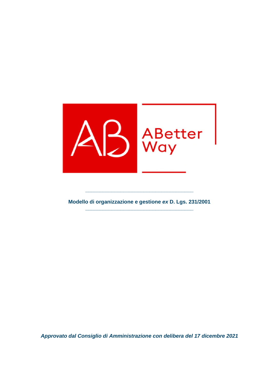

**Modello di organizzazione e gestione** *ex* **D. Lgs. 231/2001 \_\_\_\_\_\_\_\_\_\_\_\_\_\_\_\_\_\_\_\_\_\_\_\_\_\_\_\_\_\_\_\_\_\_\_\_\_** 

**\_\_\_\_\_\_\_\_\_\_\_\_\_\_\_\_\_\_\_\_\_\_\_\_\_\_\_\_\_\_\_\_\_\_\_\_\_** 

*Approvato dal Consiglio di Amministrazione con delibera del 17 dicembre 2021*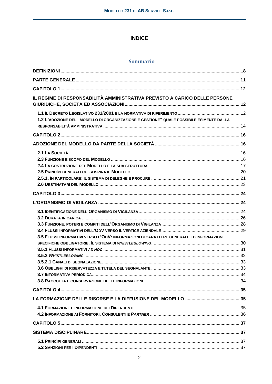### **INDICE**

### **Sommario**

| IL REGIME DI RESPONSABILITÀ AMMINISTRATIVA PREVISTO A CARICO DELLE PERSONE               |  |
|------------------------------------------------------------------------------------------|--|
| 1.2 L'ADOZIONE DEL "MODELLO DI ORGANIZZAZIONE E GESTIONE" QUALE POSSIBILE ESIMENTE DALLA |  |
|                                                                                          |  |
|                                                                                          |  |
|                                                                                          |  |
|                                                                                          |  |
|                                                                                          |  |
| 3.5 FLUSSI INFORMATIVI VERSO L'ODV: INFORMAZIONI DI CARATTERE GENERALE ED INFORMAZIONI   |  |
|                                                                                          |  |
|                                                                                          |  |
|                                                                                          |  |
|                                                                                          |  |
|                                                                                          |  |
|                                                                                          |  |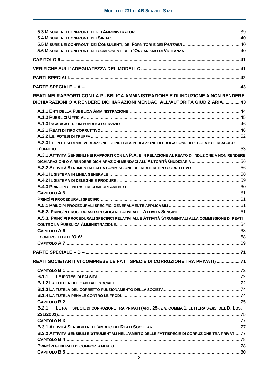| REATI NEI RAPPORTI CON LA PUBBLICA AMMINISTRAZIONE E DI INDUZIONE A NON RENDERE<br>DICHIARAZIONI O A RENDERE DICHIARAZIONI MENDACI ALL'AUTORITÀ GIUDIZIARIA 43 |  |
|----------------------------------------------------------------------------------------------------------------------------------------------------------------|--|
|                                                                                                                                                                |  |
|                                                                                                                                                                |  |
|                                                                                                                                                                |  |
|                                                                                                                                                                |  |
|                                                                                                                                                                |  |
| A.2.3 LE IPOTESI DI MALVERSAZIONE, DI INDEBITA PERCEZIONE DI EROGAZIONI, DI PECULATO E DI ABUSO                                                                |  |
| A.3.1 ATTIVITÀ SENSIBILI NEI RAPPORTI CON LA P.A. E IN RELAZIONE AL REATO DI INDUZIONE A NON RENDERE                                                           |  |
|                                                                                                                                                                |  |
| A.3.2 ATTIVITÀ STRUMENTALI ALLA COMMISSIONE DEI REATI DI TIPO CORRUTTIVO  56                                                                                   |  |
|                                                                                                                                                                |  |
|                                                                                                                                                                |  |
|                                                                                                                                                                |  |
|                                                                                                                                                                |  |
|                                                                                                                                                                |  |
|                                                                                                                                                                |  |
|                                                                                                                                                                |  |
| A.5.3. PRINCIPI PROCEDURALI SPECIFICI RELATIVI ALLE ATTIVITÀ STRUMENTALI ALLA COMMISSIONE DI REATI                                                             |  |
|                                                                                                                                                                |  |
|                                                                                                                                                                |  |
|                                                                                                                                                                |  |
|                                                                                                                                                                |  |
|                                                                                                                                                                |  |
| REATI SOCIETARI (IVI COMPRESE LE FATTISPECIE DI CORRUZIONE TRA PRIVATI)  71                                                                                    |  |
|                                                                                                                                                                |  |
| <b>B.1.1</b>                                                                                                                                                   |  |
|                                                                                                                                                                |  |
|                                                                                                                                                                |  |
|                                                                                                                                                                |  |
|                                                                                                                                                                |  |
| LE FATTISPECIE DI CORRUZIONE TRA PRIVATI (ART. 25-TER, COMMA 1, LETTERA S-BIS, DEL D. LGS.<br>B.2.1                                                            |  |
|                                                                                                                                                                |  |
|                                                                                                                                                                |  |
| B.3.2 ATTIVITÀ SENSIBILI E STRUMENTALI NELL'AMBITO DELLE FATTISPECIE DI CORRUZIONE TRA PRIVATI 77                                                              |  |
|                                                                                                                                                                |  |
|                                                                                                                                                                |  |
|                                                                                                                                                                |  |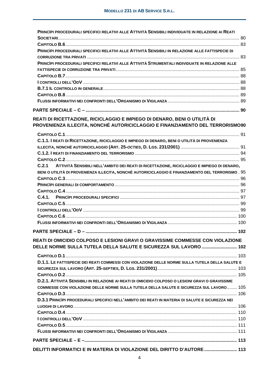| PRINCIPI PROCEDURALI SPECIFICI RELATIVI ALLE ATTIVITÀ SENSIBILI INDIVIDUATE IN RELAZIONE AI REATI  |
|----------------------------------------------------------------------------------------------------|
|                                                                                                    |
|                                                                                                    |
| PRINCIPI PROCEDURALI SPECIFICI RELATIVI ALLE ATTIVITÀ SENSIBILI IN RELAZIONE ALLE FATTISPECIE DI   |
|                                                                                                    |
| PRINCIPI PROCEDURALI SPECIFICI RELATIVI ALLE ATTIVITÀ STRUMENTALI INDIVIDUATE IN RELAZIONE ALLE    |
|                                                                                                    |
|                                                                                                    |
|                                                                                                    |
|                                                                                                    |
|                                                                                                    |
|                                                                                                    |
|                                                                                                    |
| REATI DI RICETTAZIONE, RICICLAGGIO E IMPIEGO DI DENARO, BENI O UTILITÀ DI                          |
| PROVENIENZA ILLECITA, NONCHÉ AUTORICICLAGGIO E FINANZIAMENTO DEL TERRORISMO90                      |
|                                                                                                    |
| C.1.1. I REATI DI RICETTAZIONE, RICICLAGGIO E IMPIEGO DI DENARO, BENI O UTILITÀ DI PROVENIENZA     |
|                                                                                                    |
|                                                                                                    |
|                                                                                                    |
| C.2.1 ATTIVITÀ SENSIBILI NELL'AMBITO DEI REATI DI RICETTAZIONE, RICICLAGGIO E IMPIEGO DI DENARO,   |
| BENI O UTILITÀ DI PROVENIENZA ILLECITA, NONCHÉ AUTORICICLAGGIO E FINANZIAMENTO DEL TERRORISMO . 95 |
|                                                                                                    |
|                                                                                                    |
|                                                                                                    |
|                                                                                                    |
|                                                                                                    |
|                                                                                                    |
|                                                                                                    |
|                                                                                                    |
| PARTE SPECIALE - D -<br>. 102                                                                      |
| REATI DI OMICIDIO COLPOSO E LESIONI GRAVI O GRAVISSIME COMMESSE CON VIOLAZIONE                     |
| DELLE NORME SULLA TUTELA DELLA SALUTE E SICUREZZA SUL LAVORO  102                                  |
|                                                                                                    |
|                                                                                                    |
| D.1.1. LE FATTISPECIE DEI REATI COMMESSI CON VIOLAZIONE DELLE NORME SULLA TUTELA DELLA SALUTE E    |
|                                                                                                    |
|                                                                                                    |
| D.2.1. ATTIVITÀ SENSIBILI IN RELAZIONE AI REATI DI OMICIDIO COLPOSO O LESIONI GRAVI O GRAVISSIME   |
| COMMESSE CON VIOLAZIONE DELLE NORME SULLA TUTELA DELLA SALUTE E SICUREZZA SUL LAVORO 105           |
|                                                                                                    |
| D.3.1 PRINCIPI PROCEDURALI SPECIFICI NELL'AMBITO DEI REATI IN MATERIA DI SALUTE E SICUREZZA NEI    |
|                                                                                                    |
|                                                                                                    |
|                                                                                                    |
|                                                                                                    |
|                                                                                                    |
|                                                                                                    |
| DELITTI INFORMATICI E IN MATERIA DI VIOLAZIONE DEL DIRITTO D'AUTORE  113                           |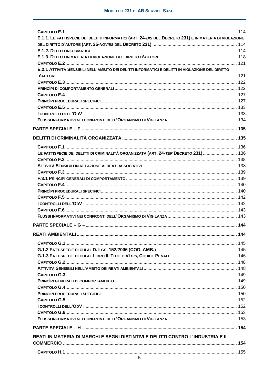| E.1.1. LE FATTISPECIE DEI DELITTI INFORMATICI (ART. 24-BIS DEL DECRETO 231) E IN MATERIA DI VIOLAZIONE                                                                                                                              |  |
|-------------------------------------------------------------------------------------------------------------------------------------------------------------------------------------------------------------------------------------|--|
|                                                                                                                                                                                                                                     |  |
|                                                                                                                                                                                                                                     |  |
|                                                                                                                                                                                                                                     |  |
|                                                                                                                                                                                                                                     |  |
| E.2.1 ATTIVITÀ SENSIBILI NELL'AMBITO DEI DELITTI INFORMATICI E DELITTI IN VIOLAZIONE DEL DIRITTO                                                                                                                                    |  |
|                                                                                                                                                                                                                                     |  |
|                                                                                                                                                                                                                                     |  |
|                                                                                                                                                                                                                                     |  |
|                                                                                                                                                                                                                                     |  |
|                                                                                                                                                                                                                                     |  |
|                                                                                                                                                                                                                                     |  |
| <b>I CONTROLLI DELL'ODV</b> (1999) (1999) (1999) (2009) (2009) (2009) (2009) (2009) (2009) (2009) (2009) (2009) (2009) (2009) (2009) (2009) (2009) (2009) (2009) (2009) (2009) (2009) (2009) (2009) (2009) (2009) (2009) (2009) (20 |  |
|                                                                                                                                                                                                                                     |  |
|                                                                                                                                                                                                                                     |  |
|                                                                                                                                                                                                                                     |  |
|                                                                                                                                                                                                                                     |  |
| LE FATTISPECIE DEI DELITTI DI CRIMINALITÀ ORGANIZZATA (ART. 24-TER DECRETO 231) 136                                                                                                                                                 |  |
|                                                                                                                                                                                                                                     |  |
|                                                                                                                                                                                                                                     |  |
|                                                                                                                                                                                                                                     |  |
|                                                                                                                                                                                                                                     |  |
|                                                                                                                                                                                                                                     |  |
|                                                                                                                                                                                                                                     |  |
|                                                                                                                                                                                                                                     |  |
|                                                                                                                                                                                                                                     |  |
|                                                                                                                                                                                                                                     |  |
|                                                                                                                                                                                                                                     |  |
|                                                                                                                                                                                                                                     |  |
|                                                                                                                                                                                                                                     |  |
|                                                                                                                                                                                                                                     |  |
|                                                                                                                                                                                                                                     |  |
|                                                                                                                                                                                                                                     |  |
|                                                                                                                                                                                                                                     |  |
|                                                                                                                                                                                                                                     |  |
|                                                                                                                                                                                                                                     |  |
|                                                                                                                                                                                                                                     |  |
|                                                                                                                                                                                                                                     |  |
|                                                                                                                                                                                                                                     |  |
|                                                                                                                                                                                                                                     |  |
|                                                                                                                                                                                                                                     |  |
|                                                                                                                                                                                                                                     |  |
|                                                                                                                                                                                                                                     |  |
|                                                                                                                                                                                                                                     |  |
|                                                                                                                                                                                                                                     |  |
| REATI IN MATERIA DI MARCHI E SEGNI DISTINTIVI E DELITTI CONTRO L'INDUSTRIA E IL                                                                                                                                                     |  |
|                                                                                                                                                                                                                                     |  |
|                                                                                                                                                                                                                                     |  |
|                                                                                                                                                                                                                                     |  |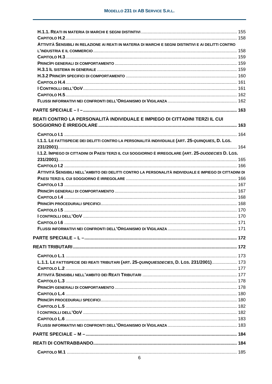| ATTIVITÀ SENSIBILI IN RELAZIONE AI REATI IN MATERIA DI MARCHI E SEGNI DISTINTIVI E AI DELITTI CONTRO   |  |
|--------------------------------------------------------------------------------------------------------|--|
|                                                                                                        |  |
|                                                                                                        |  |
|                                                                                                        |  |
|                                                                                                        |  |
|                                                                                                        |  |
|                                                                                                        |  |
|                                                                                                        |  |
|                                                                                                        |  |
|                                                                                                        |  |
|                                                                                                        |  |
|                                                                                                        |  |
| REATI CONTRO LA PERSONALITÀ INDIVIDUALE E IMPIEGO DI CITTADINI TERZI IL CUI                            |  |
|                                                                                                        |  |
| I.1.1. LE FATTISPECIE DEI DELITTI CONTRO LA PERSONALITÀ INDIVIDUALE (ART. 25-QUINQUIES, D. LGS.        |  |
|                                                                                                        |  |
| 1.1.2. IMPIEGO DI CITTADINI DI PAESI TERZI IL CUI SOGGIORNO È IRREGOLARE (ART. 25-DUODECIES D. LGS.    |  |
|                                                                                                        |  |
|                                                                                                        |  |
| ATTIVITÀ SENSIBILI NELL'AMBITO DEI DELITTI CONTRO LA PERSONALITÀ INDIVIDUALE E IMPIEGO DI CITTADINI DI |  |
|                                                                                                        |  |
|                                                                                                        |  |
|                                                                                                        |  |
|                                                                                                        |  |
|                                                                                                        |  |
|                                                                                                        |  |
|                                                                                                        |  |
|                                                                                                        |  |
|                                                                                                        |  |
|                                                                                                        |  |
|                                                                                                        |  |
|                                                                                                        |  |
|                                                                                                        |  |
| L.1.1. LE FATTISPECIE DEI REATI TRIBUTARI (ART. 25-QUINQUIESDECIES, D. LGS. 231/2001) 173              |  |
|                                                                                                        |  |
|                                                                                                        |  |
|                                                                                                        |  |
|                                                                                                        |  |
|                                                                                                        |  |
|                                                                                                        |  |
|                                                                                                        |  |
|                                                                                                        |  |
|                                                                                                        |  |
|                                                                                                        |  |
|                                                                                                        |  |
|                                                                                                        |  |
|                                                                                                        |  |
|                                                                                                        |  |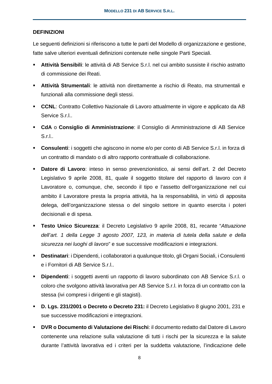### **DEFINIZIONI**

Le seguenti definizioni si riferiscono a tutte le parti del Modello di organizzazione e gestione, fatte salve ulteriori eventuali definizioni contenute nelle singole Parti Speciali.

- **Attività Sensibili**: le attività di AB Service S.r.l. nel cui ambito sussiste il rischio astratto di commissione dei Reati.
- **Attività Strumentali**: le attività non direttamente a rischio di Reato, ma strumentali e funzionali alla commissione degli stessi.
- **CCNL:** Contratto Collettivo Nazionale di Lavoro attualmente in vigore e applicato da AB Service S.r.l..
- **CdA** o **Consiglio di Amministrazione**: il Consiglio di Amministrazione di AB Service S.r.l..
- **Consulenti**: i soggetti che agiscono in nome e/o per conto di AB Service S.r.l. in forza di un contratto di mandato o di altro rapporto contrattuale di collaborazione.
- **Datore di Lavoro**: inteso in senso prevenzionistico, ai sensi dell'art. 2 del Decreto Legislativo 9 aprile 2008, 81, quale il soggetto titolare del rapporto di lavoro con il Lavoratore o, comunque, che, secondo il tipo e l'assetto dell'organizzazione nel cui ambito il Lavoratore presta la propria attività, ha la responsabilità, in virtù di apposita delega, dell'organizzazione stessa o del singolo settore in quanto esercita i poteri decisionali e di spesa.
- **Testo Unico Sicurezza**: il Decreto Legislativo 9 aprile 2008, 81, recante "*Attuazione dell'art. 1 della Legge 3 agosto 2007, 123, in materia di tutela della salute e della sicurezza nei luoghi di lavoro*" e sue successive modificazioni e integrazioni.
- **Destinatari**: i Dipendenti, i collaboratori a qualunque titolo, gli Organi Sociali, i Consulenti e i Fornitori di AB Service S.r.l..
- **Dipendenti**: i soggetti aventi un rapporto di lavoro subordinato con AB Service S.r.l. o coloro che svolgono attività lavorativa per AB Service S.r.l. in forza di un contratto con la stessa (ivi compresi i dirigenti e gli stagisti).
- **D. Lgs. 231/2001 o Decreto o Decreto 231:** il Decreto Legislativo 8 giugno 2001, 231 e sue successive modificazioni e integrazioni.
- **DVR o Documento di Valutazione dei Rischi**: il documento redatto dal Datore di Lavoro contenente una relazione sulla valutazione di tutti i rischi per la sicurezza e la salute durante l'attività lavorativa ed i criteri per la suddetta valutazione, l'indicazione delle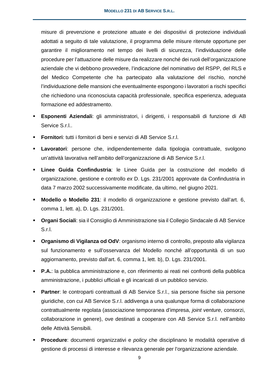misure di prevenzione e protezione attuate e dei dispositivi di protezione individuali adottati a seguito di tale valutazione, il programma delle misure ritenute opportune per garantire il miglioramento nel tempo dei livelli di sicurezza, l'individuazione delle procedure per l'attuazione delle misure da realizzare nonché dei ruoli dell'organizzazione aziendale che vi debbono provvedere, l'indicazione del nominativo del RSPP, del RLS e del Medico Competente che ha partecipato alla valutazione del rischio, nonché l'individuazione delle mansioni che eventualmente espongono i lavoratori a rischi specifici che richiedono una riconosciuta capacità professionale, specifica esperienza, adeguata formazione ed addestramento.

- **Esponenti Aziendali**: gli amministratori, i dirigenti, i responsabili di funzione di AB Service S.r.l..
- **Fornitori**: tutti i fornitori di beni e servizi di AB Service S.r.l.
- **Lavoratori**: persone che, indipendentemente dalla tipologia contrattuale, svolgono un'attività lavorativa nell'ambito dell'organizzazione di AB Service S.r.l.
- **Linee Guida Confindustria**: le Linee Guida per la costruzione del modello di organizzazione, gestione e controllo *ex* D. Lgs. 231/2001 approvate da Confindustria in data 7 marzo 2002 successivamente modificate, da ultimo, nel giugno 2021.
- **Modello o Modello 231**: il modello di organizzazione e gestione previsto dall'art. 6, comma 1, lett. a), D. Lgs. 231/2001.
- **Organi Sociali**: sia il Consiglio di Amministrazione sia il Collegio Sindacale di AB Service S.r.l.
- **Organismo di Vigilanza od OdV**: organismo interno di controllo, preposto alla vigilanza sul funzionamento e sull'osservanza del Modello nonché all'opportunità di un suo aggiornamento, previsto dall'art. 6, comma 1, lett. b), D. Lgs. 231/2001.
- **P.A.**: la pubblica amministrazione e, con riferimento ai reati nei confronti della pubblica amministrazione, i pubblici ufficiali e gli incaricati di un pubblico servizio.
- **Partner**: le controparti contrattuali di AB Service S.r.l., sia persone fisiche sia persone giuridiche, con cui AB Service S.r.l. addivenga a una qualunque forma di collaborazione contrattualmente regolata (associazione temporanea d'impresa, *joint venture*, consorzi, collaborazione in genere), ove destinati a cooperare con AB Service S.r.l. nell'ambito delle Attività Sensibili.
- **Procedure**: documenti organizzativi e *policy* che disciplinano le modalità operative di gestione di processi di interesse e rilevanza generale per l'organizzazione aziendale.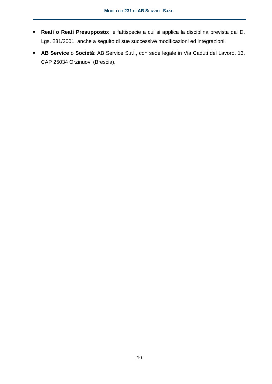- **Reati o Reati Presupposto**: le fattispecie a cui si applica la disciplina prevista dal D. Lgs. 231/2001, anche a seguito di sue successive modificazioni ed integrazioni.
- **AB Service** o **Società**: AB Service S.r.l., con sede legale in Via Caduti del Lavoro, 13, CAP 25034 Orzinuovi (Brescia).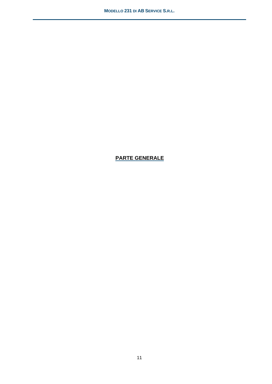# **PARTE GENERALE**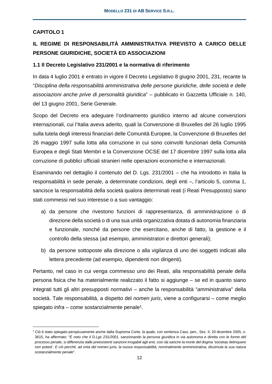## **CAPITOLO 1**

# **IL REGIME DI RESPONSABILITÀ AMMINISTRATIVA PREVISTO A CARICO DELLE PERSONE GIURIDICHE, SOCIETÀ ED ASSOCIAZIONI**

### **1.1 Il Decreto Legislativo 231/2001 e la normativa di riferimento**

In data 4 luglio 2001 è entrato in vigore il Decreto Legislativo 8 giugno 2001, 231, recante la "*Disciplina della responsabilità amministrativa delle persone giuridiche, delle società e delle associazioni anche prive di personalità giuridica*" – pubblicato in Gazzetta Ufficiale n. 140, del 13 giugno 2001, Serie Generale.

Scopo del Decreto era adeguare l'ordinamento giuridico interno ad alcune convenzioni internazionali, cui l'Italia aveva aderito, quali la Convenzione di Bruxelles del 26 luglio 1995 sulla tutela degli interessi finanziari delle Comunità Europee, la Convenzione di Bruxelles del 26 maggio 1997 sulla lotta alla corruzione in cui sono coinvolti funzionari della Comunità Europea e degli Stati Membri e la Convenzione OCSE del 17 dicembre 1997 sulla lotta alla corruzione di pubblici ufficiali stranieri nelle operazioni economiche e internazionali.

Esaminando nel dettaglio il contenuto del D. Lgs. 231/2001 – che ha introdotto in Italia la responsabilità in sede penale, a determinate condizioni, degli enti –, l'articolo 5, comma 1, sancisce la responsabilità della società qualora determinati reati (i Reati Presupposto) siano stati commessi nel suo interesse o a suo vantaggio:

- a) da persone che rivestono funzioni di rappresentanza, di amministrazione o di direzione della società o di una sua unità organizzativa dotata di autonomia finanziaria e funzionale, nonché da persone che esercitano, anche di fatto, la gestione e il controllo della stessa (ad esempio, amministratori e direttori generali);
- b) da persone sottoposte alla direzione o alla vigilanza di uno dei soggetti indicati alla lettera precedente (ad esempio, dipendenti non dirigenti).

Pertanto, nel caso in cui venga commesso uno dei Reati, alla responsabilità penale della persona fisica che ha materialmente realizzato il fatto si aggiunge – se ed in quanto siano integrati tutti gli altri presupposti normativi – anche la responsabilità "*amministrativa*" della società. Tale responsabilità, a dispetto del *nomen juris*, viene a configurarsi – come meglio spiegato *infra* – come sostanzialmente penale<sup>1</sup>.

<sup>1</sup> Ciò è stato spiegato perspicuamente anche dalla Suprema Corte, la quale, con sentenza Cass. pen., Sez. II, 20 dicembre 2005, n. 3615, ha affermato: "*È noto che il D.Lgs 231/2001, sanzionando la persona giuridica in via autonoma e diretta con le forme del processo penale, si differenzia dalle preesistenti sanzioni irrogabili agli enti, così da sancire la morte del dogma '*societas delinquere non potest'*. E ciò perché, ad onta del* nomen juris*, la nuova responsabilità, nominalmente amministrativa, dissimula la sua natura sostanzialmente penale*".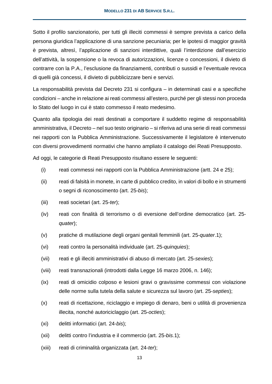Sotto il profilo sanzionatorio, per tutti gli illeciti commessi è sempre prevista a carico della persona giuridica l'applicazione di una sanzione pecuniaria; per le ipotesi di maggior gravità è prevista, altresì, l'applicazione di sanzioni interdittive, quali l'interdizione dall'esercizio dell'attività, la sospensione o la revoca di autorizzazioni, licenze o concessioni, il divieto di contrarre con la P.A., l'esclusione da finanziamenti, contributi o sussidi e l'eventuale revoca di quelli già concessi, il divieto di pubblicizzare beni e servizi.

La responsabilità prevista dal Decreto 231 si configura – in determinati casi e a specifiche condizioni – anche in relazione ai reati commessi all'estero, purché per gli stessi non proceda lo Stato del luogo in cui è stato commesso il reato medesimo.

Quanto alla tipologia dei reati destinati a comportare il suddetto regime di responsabilità amministrativa, il Decreto – nel suo testo originario – si riferiva ad una serie di reati commessi nei rapporti con la Pubblica Amministrazione. Successivamente il legislatore è intervenuto con diversi provvedimenti normativi che hanno ampliato il catalogo dei Reati Presupposto.

Ad oggi, le categorie di Reati Presupposto risultano essere le seguenti:

- (i) reati commessi nei rapporti con la Pubblica Amministrazione (artt. 24 e 25);
- (ii) reati di falsità in monete, in carte di pubblico credito, in valori di bollo e in strumenti o segni di riconoscimento (art. 25-*bis*);
- (iii) reati societari (art. 25-*ter*);
- (iv) reati con finalità di terrorismo o di eversione dell'ordine democratico (art. 25 *quater*);
- (v) pratiche di mutilazione degli organi genitali femminili (art. 25-*quater*.1);
- (vi) reati contro la personalità individuale (art. 25-*quinquies*);
- (vii) reati e gli illeciti amministrativi di abuso di mercato (art. 25-*sexies*);
- (viii) reati transnazionali (introdotti dalla Legge 16 marzo 2006, n. 146);
- (ix) reati di omicidio colposo e lesioni gravi o gravissime commessi con violazione delle norme sulla tutela della salute e sicurezza sul lavoro (art. 25-*septies*);
- (x) reati di ricettazione, riciclaggio e impiego di denaro, beni o utilità di provenienza illecita, nonché autoriciclaggio (art. 25-*octies*);
- (xi) delitti informatici (art. 24-*bis*);
- (xii) delitti contro l'industria e il commercio (art. 25-*bis.*1);
- (xiii) reati di criminalità organizzata (art. 24-*ter*);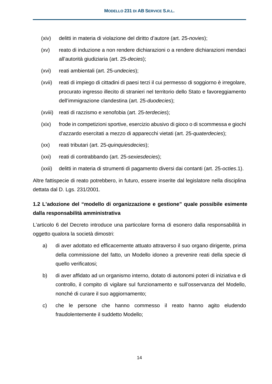- (xiv) delitti in materia di violazione del diritto d'autore (art. 25-*novies*);
- (xv) reato di induzione a non rendere dichiarazioni o a rendere dichiarazioni mendaci all'autorità giudiziaria (art. 25-*decies*);
- (xvi) reati ambientali (art. 25-*undecies*);
- (xvii) reati di impiego di cittadini di paesi terzi il cui permesso di soggiorno è irregolare, procurato ingresso illecito di stranieri nel territorio dello Stato e favoreggiamento dell'immigrazione clandestina (art. 25-*duodecies*);
- (xviii) reati di razzismo e xenofobia (art. 25-*terdecies*);
- (xix) frode in competizioni sportive, esercizio abusivo di gioco o di scommessa e giochi d'azzardo esercitati a mezzo di apparecchi vietati (art. 25-*quaterdecies*);
- (xx) reati tributari (art. 25-*quinquiesdecies*);
- (xxi) reati di contrabbando (art. 25-*sexiesdecies*);
- (xxii) delitti in materia di strumenti di pagamento diversi dai contanti (art. 25-*octies*.1).

Altre fattispecie di reato potrebbero, in futuro, essere inserite dal legislatore nella disciplina dettata dal D. Lgs. 231/2001.

# **1.2 L'adozione del "modello di organizzazione e gestione" quale possibile esimente dalla responsabilità amministrativa**

L'articolo 6 del Decreto introduce una particolare forma di esonero dalla responsabilità in oggetto qualora la società dimostri:

- a) di aver adottato ed efficacemente attuato attraverso il suo organo dirigente, prima della commissione del fatto, un Modello idoneo a prevenire reati della specie di quello verificatosi;
- b) di aver affidato ad un organismo interno, dotato di autonomi poteri di iniziativa e di controllo, il compito di vigilare sul funzionamento e sull'osservanza del Modello, nonché di curare il suo aggiornamento;
- c) che le persone che hanno commesso il reato hanno agito eludendo fraudolentemente il suddetto Modello;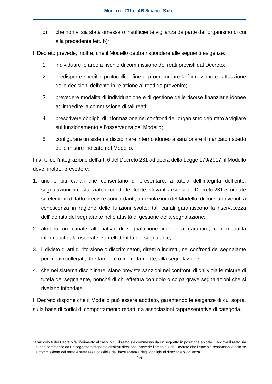d) che non vi sia stata omessa o insufficiente vigilanza da parte dell'organismo di cui alla precedente lett. b)<sup>2</sup>.

Il Decreto prevede, inoltre, che il Modello debba rispondere alle seguenti esigenze:

- 1. individuare le aree a rischio di commissione dei reati previsti dal Decreto;
- 2. predisporre specifici protocolli al fine di programmare la formazione e l'attuazione delle decisioni dell'ente in relazione ai reati da prevenire;
- 3. prevedere modalità di individuazione e di gestione delle risorse finanziarie idonee ad impedire la commissione di tali reati;
- 4. prescrivere obblighi di informazione nei confronti dell'organismo deputato a vigilare sul funzionamento e l'osservanza del Modello;
- 5. configurare un sistema disciplinare interno idoneo a sanzionare il mancato rispetto delle misure indicate nel Modello.

In virtù dell'integrazione dell'art. 6 del Decreto 231 ad opera della Legge 179/2017, il Modello deve, inoltre, prevedere:

- 1. uno o più canali che consentano di presentare, a tutela dell'integrità dell'ente, segnalazioni circostanziate di condotte illecite, rilevanti ai sensi del Decreto 231 e fondate su elementi di fatto precisi e concordanti, o di violazioni del Modello, di cui siano venuti a conoscenza in ragione delle funzioni svolte; tali canali garantiscono la riservatezza dell'identità del segnalante nelle attività di gestione della segnalazione;
- 2. almeno un canale alternativo di segnalazione idoneo a garantire, con modalità informatiche, la riservatezza dell'identità del segnalante;
- 3. il divieto di atti di ritorsione o discriminatori, diretti o indiretti, nei confronti del segnalante per motivi collegati, direttamente o indirettamente, alla segnalazione;
- 4. che nel sistema disciplinare, siano previste sanzioni nei confronti di chi viola le misure di tutela del segnalante, nonché di chi effettua con dolo o colpa grave segnalazioni che si rivelano infondate.

Il Decreto dispone che il Modello può essere adottato, garantendo le esigenze di cui sopra, sulla base di codici di comportamento redatti da associazioni rappresentative di categoria.

<sup>&</sup>lt;sup>2</sup> L'articolo 6 del Decreto fa riferimento al caso in cui il reato sia commesso da un soggetto in posizione apicale. Laddove il reato sia invece commesso da un soggetto sottoposto all'altrui direzione, prevede l'articolo 7 del Decreto che l'ente sia responsabile solo se la commissione del reato è stata resa possibile dall'inosservanza degli obblighi di direzione o vigilanza.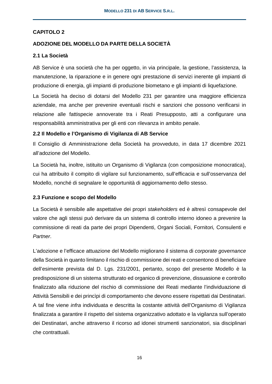### **CAPITOLO 2**

### **ADOZIONE DEL MODELLO DA PARTE DELLA SOCIETÀ**

### **2.1 La Società**

AB Service è una società che ha per oggetto, in via principale, la gestione, l'assistenza, la manutenzione, la riparazione e in genere ogni prestazione di servizi inerente gli impianti di produzione di energia, gli impianti di produzione biometano e gli impianti di liquefazione.

La Società ha deciso di dotarsi del Modello 231 per garantire una maggiore efficienza aziendale, ma anche per prevenire eventuali rischi e sanzioni che possono verificarsi in relazione alle fattispecie annoverate tra i Reati Presupposto, atti a configurare una responsabilità amministrativa per gli enti con rilevanza in ambito penale.

### **2.2 Il Modello e l'Organismo di Vigilanza di AB Service**

Il Consiglio di Amministrazione della Società ha provveduto, in data 17 dicembre 2021 all'adozione del Modello.

La Società ha, inoltre, istituito un Organismo di Vigilanza (con composizione monocratica), cui ha attribuito il compito di vigilare sul funzionamento, sull'efficacia e sull'osservanza del Modello, nonché di segnalare le opportunità di aggiornamento dello stesso.

### **2.3 Funzione e scopo del Modello**

La Società è sensibile alle aspettative dei propri *stakeholders* ed è altresì consapevole del valore che agli stessi può derivare da un sistema di controllo interno idoneo a prevenire la commissione di reati da parte dei propri Dipendenti, Organi Sociali, Fornitori*,* Consulenti e *Partner*.

L'adozione e l'efficace attuazione del Modello migliorano il sistema di *corporate governance* della Società in quanto limitano il rischio di commissione dei reati e consentono di beneficiare dell'esimente prevista dal D. Lgs. 231/2001, pertanto, scopo del presente Modello è la predisposizione di un sistema strutturato ed organico di prevenzione, dissuasione e controllo finalizzato alla riduzione del rischio di commissione dei Reati mediante l'individuazione di Attività Sensibili e dei princìpi di comportamento che devono essere rispettati dai Destinatari. A tal fine viene *infra* individuata e descritta la costante attività dell'Organismo di Vigilanza finalizzata a garantire il rispetto del sistema organizzativo adottato e la vigilanza sull'operato dei Destinatari, anche attraverso il ricorso ad idonei strumenti sanzionatori, sia disciplinari che contrattuali.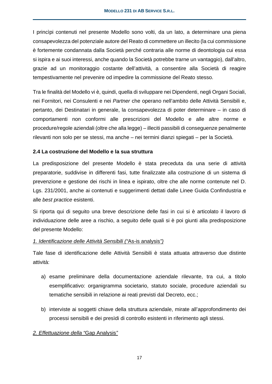I princìpi contenuti nel presente Modello sono volti, da un lato, a determinare una piena consapevolezza del potenziale autore del Reato di commettere un illecito (la cui commissione è fortemente condannata dalla Società perché contraria alle norme di deontologia cui essa si ispira e ai suoi interessi, anche quando la Società potrebbe trarne un vantaggio), dall'altro, grazie ad un monitoraggio costante dell'attività, a consentire alla Società di reagire tempestivamente nel prevenire od impedire la commissione del Reato stesso.

Tra le finalità del Modello vi è, quindi, quella di sviluppare nei Dipendenti, negli Organi Sociali, nei Fornitori, nei Consulenti e nei *Partner* che operano nell'ambito delle Attività Sensibili e, pertanto, dei Destinatari in generale, la consapevolezza di poter determinare – in caso di comportamenti non conformi alle prescrizioni del Modello e alle altre norme e procedure/regole aziendali (oltre che alla legge) – illeciti passibili di conseguenze penalmente rilevanti non solo per se stessi, ma anche – nei termini dianzi spiegati – per la Società.

### **2.4 La costruzione del Modello e la sua struttura**

La predisposizione del presente Modello è stata preceduta da una serie di attività preparatorie, suddivise in differenti fasi, tutte finalizzate alla costruzione di un sistema di prevenzione e gestione dei rischi in linea e ispirato, oltre che alle norme contenute nel D. Lgs. 231/2001, anche ai contenuti e suggerimenti dettati dalle Linee Guida Confindustria e alle *best practice* esistenti.

Si riporta qui di seguito una breve descrizione delle fasi in cui si è articolato il lavoro di individuazione delle aree a rischio, a seguito delle quali si è poi giunti alla predisposizione del presente Modello:

### *1. Identificazione delle Attività Sensibili ("*As-is analysis*")*

Tale fase di identificazione delle Attività Sensibili è stata attuata attraverso due distinte attività:

- a) esame preliminare della documentazione aziendale rilevante, tra cui, a titolo esemplificativo: organigramma societario, statuto sociale, procedure aziendali su tematiche sensibili in relazione ai reati previsti dal Decreto, ecc.;
- b) interviste ai soggetti chiave della struttura aziendale, mirate all'approfondimento dei processi sensibili e dei presìdi di controllo esistenti in riferimento agli stessi.

### *2. Effettuazione della "*Gap Analysis*"*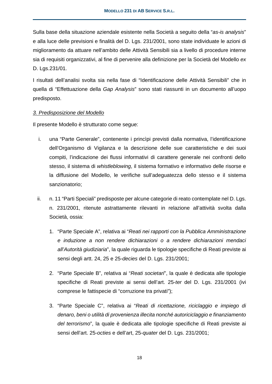Sulla base della situazione aziendale esistente nella Società a seguito della "*as-is analysis*" e alla luce delle previsioni e finalità del D. Lgs. 231/2001, sono state individuate le azioni di miglioramento da attuare nell'ambito delle Attività Sensibili sia a livello di procedure interne sia di requisiti organizzativi, al fine di pervenire alla definizione per la Società del Modello *ex*  D. Lgs.231/01.

I risultati dell'analisi svolta sia nella fase di "Identificazione delle Attività Sensibili" che in quella di "Effettuazione della *Gap Analysis*" sono stati riassunti in un documento all'uopo predisposto.

### *3. Predisposizione del Modello*

Il presente Modello è strutturato come segue:

- i. una "Parte Generale", contenente i princìpi previsti dalla normativa, l'identificazione dell'Organismo di Vigilanza e la descrizione delle sue caratteristiche e dei suoi compiti, l'indicazione dei flussi informativi di carattere generale nei confronti dello stesso, il sistema di *whistleblowing*, il sistema formativo e informativo delle risorse e la diffusione del Modello, le verifiche sull'adeguatezza dello stesso e il sistema sanzionatorio;
- ii. n. 11 "Parti Speciali" predisposte per alcune categorie di reato contemplate nel D. Lgs. n. 231/2001, ritenute astrattamente rilevanti in relazione all'attività svolta dalla Società, ossia:
	- 1. "Parte Speciale A", relativa ai "*Reati nei rapporti con la Pubblica Amministrazione e induzione a non rendere dichiarazioni o a rendere dichiarazioni mendaci all'Autorità giudiziaria*", la quale riguarda le tipologie specifiche di Reati previste ai sensi degli artt. 24, 25 e 25-*decies* del D. Lgs. 231/2001;
	- 2. "Parte Speciale B", relativa ai "*Reati societari*", la quale è dedicata alle tipologie specifiche di Reati previste ai sensi dell'art. 25-*ter* del D. Lgs. 231/2001 (ivi comprese le fattispecie di "corruzione tra privati");
	- 3. "Parte Speciale C", relativa ai "*Reati di ricettazione, riciclaggio e impiego di denaro, beni o utilità di provenienza illecita nonché autoriciclaggio e finanziamento del terrorismo*", la quale è dedicata alle tipologie specifiche di Reati previste ai sensi dell'art. 25-*octies* e dell'art, 25-*quater* del D. Lgs. 231/2001;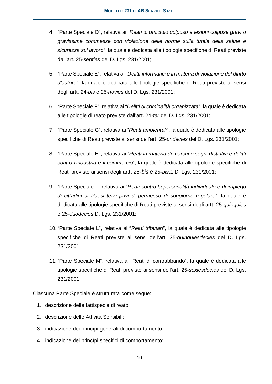- 4. "Parte Speciale D", relativa ai "*Reati di omicidio colposo e lesioni colpose gravi o gravissime commesse con violazione delle norme sulla tutela della salute e sicurezza sul lavoro*", la quale è dedicata alle tipologie specifiche di Reati previste dall'art. 25-*septies* del D. Lgs. 231/2001;
- 5. "Parte Speciale E", relativa ai "*Delitti informatici e in materia di violazione del diritto d'autore*", la quale è dedicata alle tipologie specifiche di Reati previste ai sensi degli artt. 24-*bis* e 25-*novies* del D. Lgs. 231/2001;
- 6. "Parte Speciale F", relativa ai "*Delitti di criminalità organizzata*", la quale è dedicata alle tipologie di reato previste dall'art. 24-*ter* del D. Lgs. 231/2001;
- 7. "Parte Speciale G", relativa ai "*Reati ambientali*", la quale è dedicata alle tipologie specifiche di Reati previste ai sensi dell'art. 25-*undecies* del D. Lgs. 231/2001;
- 8. "Parte Speciale H", relativa ai "*Reati in materia di marchi e segni distintivi e delitti contro l'industria e il commercio*", la quale è dedicata alle tipologie specifiche di Reati previste ai sensi degli artt. 25-*bis* e 25-*bis*.1 D. Lgs. 231/2001;
- 9. "Parte Speciale I", relativa ai "*Reati contro la personalità individuale e di impiego di cittadini di Paesi terzi privi di permesso di soggiorno regolare*", la quale è dedicata alle tipologie specifiche di Reati previste ai sensi degli artt. 25-*quinquies*  e 25-*duodecies* D. Lgs. 231/2001;
- 10. "Parte Speciale L", relativa ai "*Reati tributari*", la quale è dedicata alle tipologie specifiche di Reati previste ai sensi dell'art. 25-*quinquiesdecies* del D. Lgs. 231/2001;
- 11. "Parte Speciale M", relativa ai "Reati di contrabbando", la quale è dedicata alle tipologie specifiche di Reati previste ai sensi dell'art. 25-*sexiesdecies* del D. Lgs. 231/2001.

Ciascuna Parte Speciale è strutturata come segue:

- 1. descrizione delle fattispecie di reato;
- 2. descrizione delle Attività Sensibili;
- 3. indicazione dei princìpi generali di comportamento;
- 4. indicazione dei princìpi specifici di comportamento;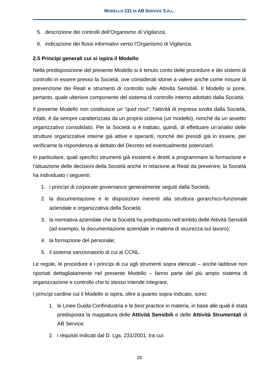- 5. descrizione dei controlli dell'Organismo di Vigilanza;
- 6. indicazione dei flussi informativi verso l'Organismo di Vigilanza.

### **2.5 Princìpi generali cui si ispira il Modello**

Nella predisposizione del presente Modello si è tenuto conto delle procedure e dei sistemi di controllo in essere presso la Società, ove considerati idonei a valere anche come misure di prevenzione dei Reati e strumenti di controllo sulle Attività Sensibili. Il Modello si pone, pertanto, quale ulteriore componente del sistema di controllo interno adottato dalla Società.

Il presente Modello non costituisce un "*quid novi*": l'attività di impresa svolta dalla Società, infatti, è da sempre caratterizzata da un proprio sistema (un modello), nonché da un assetto organizzativo consolidato. Per la Società si è trattato, quindi, di effettuare un'analisi delle strutture organizzative interne già attive e operanti, nonché dei presìdi già in essere, per verificarne la rispondenza al dettato del Decreto ed eventualmente potenziarli.

In particolare, quali specifici strumenti già esistenti e diretti a programmare la formazione e l'attuazione delle decisioni della Società anche in relazione ai Reati da prevenire, la Società ha individuato i seguenti:

- 1. i princìpi di *corporate governance* generalmente seguiti dalla Società;
- 2. la documentazione e le disposizioni inerenti alla struttura gerarchico-funzionale aziendale e organizzativa della Società;
- 3. la normativa aziendale che la Società ha predisposto nell'ambito delle Attività Sensibili (ad esempio, la documentazione aziendale in materia di sicurezza sul lavoro);
- 4. la formazione del personale;
- 5. il sistema sanzionatorio di cui al CCNL.

Le regole, le procedure e i princìpi di cui agli strumenti sopra elencati – anche laddove non riportati dettagliatamente nel presente Modello – fanno parte del più ampio sistema di organizzazione e controllo che lo stesso intende integrare.

I princìpi cardine cui il Modello si ispira, oltre a quanto sopra indicato, sono:

- 1. le Linee Guida Confindustria e le *best practice* in materia, in base alle quali è stata predisposta la mappatura delle **Attività Sensibili** e delle **Attività Strumentali** di AB Service;
- 2. i requisiti indicati dal D. Lgs. 231/2001, tra cui: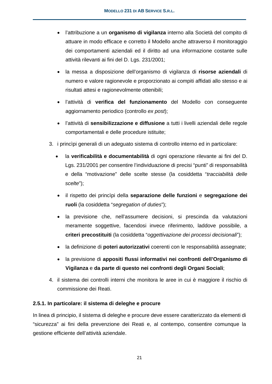- l'attribuzione a un **organismo di vigilanza** interno alla Società del compito di attuare in modo efficace e corretto il Modello anche attraverso il monitoraggio dei comportamenti aziendali ed il diritto ad una informazione costante sulle attività rilevanti ai fini del D. Lgs. 231/2001;
- la messa a disposizione dell'organismo di vigilanza di **risorse aziendali** di numero e valore ragionevole e proporzionato ai compiti affidati allo stesso e ai risultati attesi e ragionevolmente ottenibili;
- l'attività di **verifica del funzionamento** del Modello con conseguente aggiornamento periodico (controllo *ex post*);
- l'attività di **sensibilizzazione e diffusione** a tutti i livelli aziendali delle regole comportamentali e delle procedure istituite;
- 3. i princìpi generali di un adeguato sistema di controllo interno ed in particolare:
	- la **verificabilità e documentabilità** di ogni operazione rilevante ai fini del D. Lgs. 231/2001 per consentire l'individuazione di precisi "punti" di responsabilità e della "motivazione" delle scelte stesse (la cosiddetta "*tracciabilità delle scelte*");
	- il rispetto dei princìpi della **separazione delle funzioni** e **segregazione dei ruoli** (la cosiddetta "*segregation of duties*");
	- la previsione che, nell'assumere decisioni, si prescinda da valutazioni meramente soggettive, facendosi invece riferimento, laddove possibile, a **criteri precostituiti** (la cosiddetta "*oggettivazione dei processi decisionali*");
	- la definizione di **poteri autorizzativi** coerenti con le responsabilità assegnate;
	- la previsione di **appositi flussi informativi nei confronti dell'Organismo di Vigilanza** e **da parte di questo nei confronti degli Organi Sociali**;
- 4. il sistema dei controlli interni che monitora le aree in cui è maggiore il rischio di commissione dei Reati.

# **2.5.1. In particolare: il sistema di deleghe e procure**

In linea di principio, il sistema di deleghe e procure deve essere caratterizzato da elementi di "sicurezza" ai fini della prevenzione dei Reati e, al contempo, consentire comunque la gestione efficiente dell'attività aziendale.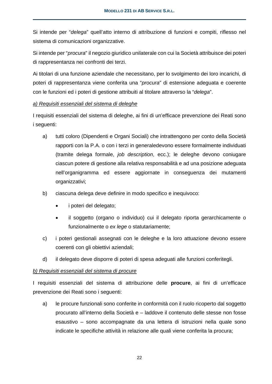Si intende per "*delega*" quell'atto interno di attribuzione di funzioni e compiti, riflesso nel sistema di comunicazioni organizzative.

Si intende per "*procura*" il negozio giuridico unilaterale con cui la Società attribuisce dei poteri di rappresentanza nei confronti dei terzi.

Ai titolari di una funzione aziendale che necessitano, per lo svolgimento dei loro incarichi, di poteri di rappresentanza viene conferita una "*procura*" di estensione adeguata e coerente con le funzioni ed i poteri di gestione attribuiti al titolare attraverso la "*delega*".

### *a) Requisiti essenziali del sistema di deleghe*

I requisiti essenziali del sistema di deleghe, ai fini di un'efficace prevenzione dei Reati sono i seguenti:

- a) tutti coloro (Dipendenti e Organi Sociali) che intrattengono per conto della Società rapporti con la P.A. o con i terzi in generaledevono essere formalmente individuati (tramite delega formale, *job description*, ecc.); le deleghe devono coniugare ciascun potere di gestione alla relativa responsabilità e ad una posizione adeguata nell'organigramma ed essere aggiornate in conseguenza dei mutamenti organizzativi;
- b) ciascuna delega deve definire in modo specifico e inequivoco:
	- i poteri del delegato;
	- il soggetto (organo o individuo) cui il delegato riporta gerarchicamente o funzionalmente o *ex lege* o statutariamente;
- c) i poteri gestionali assegnati con le deleghe e la loro attuazione devono essere coerenti con gli obiettivi aziendali;
- d) il delegato deve disporre di poteri di spesa adeguati alle funzioni conferitegli.

### *b) Requisiti essenziali del sistema di procure*

I requisiti essenziali del sistema di attribuzione delle **procure**, ai fini di un'efficace prevenzione dei Reati sono i seguenti:

a) le procure funzionali sono conferite in conformità con il ruolo ricoperto dal soggetto procurato all'interno della Società e – laddove il contenuto delle stesse non fosse esaustivo – sono accompagnate da una lettera di istruzioni nella quale sono indicate le specifiche attività in relazione alle quali viene conferita la procura;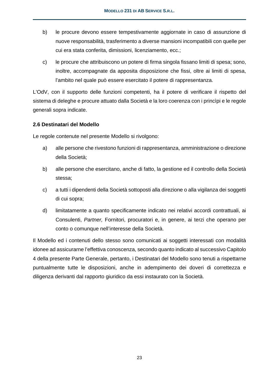- b) le procure devono essere tempestivamente aggiornate in caso di assunzione di nuove responsabilità, trasferimento a diverse mansioni incompatibili con quelle per cui era stata conferita, dimissioni, licenziamento, ecc.;
- c) le procure che attribuiscono un potere di firma singola fissano limiti di spesa; sono, inoltre, accompagnate da apposita disposizione che fissi, oltre ai limiti di spesa, l'ambito nel quale può essere esercitato il potere di rappresentanza.

L'OdV, con il supporto delle funzioni competenti, ha il potere di verificare il rispetto del sistema di deleghe e procure attuato dalla Società e la loro coerenza con i princìpi e le regole generali sopra indicate.

### **2.6 Destinatari del Modello**

Le regole contenute nel presente Modello si rivolgono:

- a) alle persone che rivestono funzioni di rappresentanza, amministrazione o direzione della Società;
- b) alle persone che esercitano, anche di fatto, la gestione ed il controllo della Società stessa;
- c) a tutti i dipendenti della Società sottoposti alla direzione o alla vigilanza dei soggetti di cui sopra;
- d) limitatamente a quanto specificamente indicato nei relativi accordi contrattuali, ai Consulenti, *Partner,* Fornitori, procuratori e, in genere, ai terzi che operano per conto o comunque nell'interesse della Società.

Il Modello ed i contenuti dello stesso sono comunicati ai soggetti interessati con modalità idonee ad assicurarne l'effettiva conoscenza, secondo quanto indicato al successivo Capitolo 4 della presente Parte Generale, pertanto, i Destinatari del Modello sono tenuti a rispettarne puntualmente tutte le disposizioni, anche in adempimento dei doveri di correttezza e diligenza derivanti dal rapporto giuridico da essi instaurato con la Società.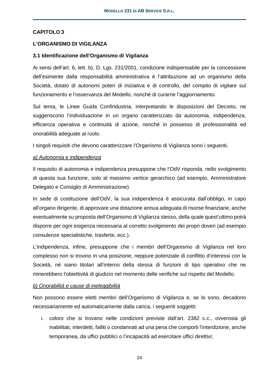### **CAPITOLO 3**

#### **L'ORGANISMO DI VIGILANZA**

#### **3.1 Identificazione dell'Organismo di Vigilanza**

Ai sensi dell'art. 6, lett. b), D. Lgs. 231/2001, condizione indispensabile per la concessione dell'esimente dalla responsabilità amministrativa è l'attribuzione ad un organismo della Società, dotato di autonomi poteri di iniziativa e di controllo, del compito di vigilare sul funzionamento e l'osservanza del Modello, nonché di curarne l'aggiornamento.

Sul tema, le Linee Guida Confindustria, interpretando le disposizioni del Decreto, ne suggeriscono l'individuazione in un organo caratterizzato da autonomia, indipendenza, efficienza operativa e continuità di azione, nonché in possesso di professionalità ed onorabilità adeguate al ruolo.

I singoli requisiti che devono caratterizzare l'Organismo di Vigilanza sono i seguenti.

#### *a) Autonomia e indipendenza*

Il requisito di autonomia e indipendenza presuppone che l'OdV risponda, nello svolgimento di questa sua funzione, solo al massimo vertice gerarchico (ad esempio, Amministratore Delegato e Consiglio di Amministrazione).

In sede di costituzione dell'OdV, la sua indipendenza è assicurata dall'obbligo, in capo all'organo dirigente, di approvare una dotazione annua adeguata di risorse finanziarie, anche eventualmente su proposta dell'Organismo di Vigilanza stesso, della quale quest'ultimo potrà disporre per ogni esigenza necessaria al corretto svolgimento dei propri doveri (ad esempio consulenze specialistiche, trasferte, ecc.).

L'indipendenza, infine, presuppone che i membri dell'Organismo di Vigilanza nel loro complesso non si trovino in una posizione, neppure potenziale di conflitto d'interessi con la Società, né siano titolari all'interno della stessa di funzioni di tipo operativo che ne minerebbero l'obiettività di giudizio nel momento delle verifiche sul rispetto del Modello.

### *b) Onorabilità e cause di ineleggibilità*

Non possono essere eletti membri dell'Organismo di Vigilanza e, se lo sono, decadono necessariamente ed automaticamente dalla carica, i seguenti soggetti:

i. coloro che si trovano nelle condizioni previste dall'art. 2382 c.c., ovverosia gli inabilitati, interdetti, falliti o condannati ad una pena che comporti l'interdizione, anche temporanea, da uffici pubblici o l'incapacità ad esercitare uffici direttivi;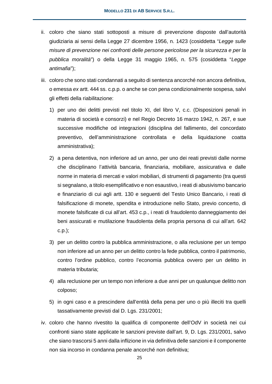- ii. coloro che siano stati sottoposti a misure di prevenzione disposte dall'autorità giudiziaria ai sensi della Legge 27 dicembre 1956, n. 1423 (cosiddetta "*Legge sulle misure di prevenzione nei confronti delle persone pericolose per la sicurezza e per la pubblica moralità*") o della Legge 31 maggio 1965, n. 575 (cosiddetta "*Legge antimafia*");
- iii. coloro che sono stati condannati a seguito di sentenza ancorché non ancora definitiva, o emessa *ex* artt. 444 ss. c.p.p. o anche se con pena condizionalmente sospesa, salvi gli effetti della riabilitazione:
	- 1) per uno dei delitti previsti nel titolo XI, del libro V, c.c. (Disposizioni penali in materia di società e consorzi) e nel Regio Decreto 16 marzo 1942, n. 267, e sue successive modifiche od integrazioni (disciplina del fallimento, del concordato preventivo, dell'amministrazione controllata e della liquidazione coatta amministrativa);
	- 2) a pena detentiva, non inferiore ad un anno, per uno dei reati previsti dalle norme che disciplinano l'attività bancaria, finanziaria, mobiliare, assicurativa e dalle norme in materia di mercati e valori mobiliari, di strumenti di pagamento (tra questi si segnalano, a titolo esemplificativo e non esaustivo, i reati di abusivismo bancario e finanziario di cui agli artt. 130 e seguenti del Testo Unico Bancario, i reati di falsificazione di monete, spendita e introduzione nello Stato, previo concerto, di monete falsificate di cui all'art. 453 c.p., i reati di fraudolento danneggiamento dei beni assicurati e mutilazione fraudolenta della propria persona di cui all'art. 642 c.p.);
	- 3) per un delitto contro la pubblica amministrazione, o alla reclusione per un tempo non inferiore ad un anno per un delitto contro la fede pubblica, contro il patrimonio, contro l'ordine pubblico, contro l'economia pubblica ovvero per un delitto in materia tributaria;
	- 4) alla reclusione per un tempo non inferiore a due anni per un qualunque delitto non colposo;
	- 5) in ogni caso e a prescindere dall'entità della pena per uno o più illeciti tra quelli tassativamente previsti dal D. Lgs. 231/2001;
- iv. coloro che hanno rivestito la qualifica di componente dell'OdV in società nei cui confronti siano state applicate le sanzioni previste dall'art. 9, D. Lgs. 231/2001, salvo che siano trascorsi 5 anni dalla inflizione in via definitiva delle sanzioni e il componente non sia incorso in condanna penale ancorché non definitiva;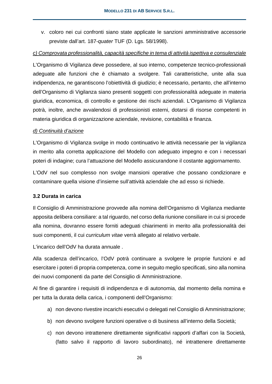v. coloro nei cui confronti siano state applicate le sanzioni amministrative accessorie previste dall'art. 187-*quater* TUF (D. Lgs. 58/1998).

### *c) Comprovata professionalità, capacità specifiche in tema di attività ispettiva e consulenziale*

L'Organismo di Vigilanza deve possedere, al suo interno, competenze tecnico-professionali adeguate alle funzioni che è chiamato a svolgere. Tali caratteristiche, unite alla sua indipendenza, ne garantiscono l'obiettività di giudizio; è necessario, pertanto, che all'interno dell'Organismo di Vigilanza siano presenti soggetti con professionalità adeguate in materia giuridica, economica, di controllo e gestione dei rischi aziendali. L'Organismo di Vigilanza potrà, inoltre, anche avvalendosi di professionisti esterni, dotarsi di risorse competenti in materia giuridica di organizzazione aziendale, revisione, contabilità e finanza.

### *d) Continuità d'azione*

L'Organismo di Vigilanza svolge in modo continuativo le attività necessarie per la vigilanza in merito alla corretta applicazione del Modello con adeguato impegno e con i necessari poteri di indagine; cura l'attuazione del Modello assicurandone il costante aggiornamento.

L'OdV nel suo complesso non svolge mansioni operative che possano condizionare e contaminare quella visione d'insieme sull'attività aziendale che ad esso si richiede.

### **3.2 Durata in carica**

Il Consiglio di Amministrazione provvede alla nomina dell'Organismo di Vigilanza mediante apposita delibera consiliare: a tal riguardo, nel corso della riunione consiliare in cui si procede alla nomina, dovranno essere forniti adeguati chiarimenti in merito alla professionalità dei suoi componenti, il cui *curriculum vitae* verrà allegato al relativo verbale.

L'incarico dell'OdV ha durata annuale .

Alla scadenza dell'incarico, l'OdV potrà continuare a svolgere le proprie funzioni e ad esercitare i poteri di propria competenza, come in seguito meglio specificati, sino alla nomina dei nuovi componenti da parte del Consiglio di Amministrazione.

Al fine di garantire i requisiti di indipendenza e di autonomia, dal momento della nomina e per tutta la durata della carica, i componenti dell'Organismo:

- a) non devono rivestire incarichi esecutivi o delegati nel Consiglio di Amministrazione;
- b) non devono svolgere funzioni operative o di business all'interno della Società;
- c) non devono intrattenere direttamente significativi rapporti d'affari con la Società, (fatto salvo il rapporto di lavoro subordinato), né intrattenere direttamente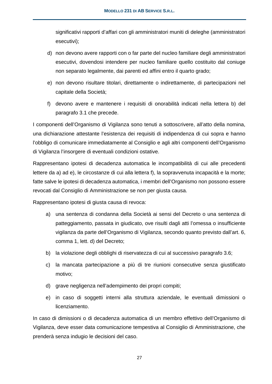significativi rapporti d'affari con gli amministratori muniti di deleghe (amministratori esecutivi);

- d) non devono avere rapporti con o far parte del nucleo familiare degli amministratori esecutivi, dovendosi intendere per nucleo familiare quello costituito dal coniuge non separato legalmente, dai parenti ed affini entro il quarto grado;
- e) non devono risultare titolari, direttamente o indirettamente, di partecipazioni nel capitale della Società;
- f) devono avere e mantenere i requisiti di onorabilità indicati nella lettera b) del paragrafo 3.1 che precede.

I componenti dell'Organismo di Vigilanza sono tenuti a sottoscrivere, all'atto della nomina, una dichiarazione attestante l'esistenza dei requisiti di indipendenza di cui sopra e hanno l'obbligo di comunicare immediatamente al Consiglio e agli altri componenti dell'Organismo di Vigilanza l'insorgere di eventuali condizioni ostative.

Rappresentano ipotesi di decadenza automatica le incompatibilità di cui alle precedenti lettere da a) ad e), le circostanze di cui alla lettera f), la sopravvenuta incapacità e la morte; fatte salve le ipotesi di decadenza automatica, i membri dell'Organismo non possono essere revocati dal Consiglio di Amministrazione se non per giusta causa.

Rappresentano ipotesi di giusta causa di revoca:

- a) una sentenza di condanna della Società ai sensi del Decreto o una sentenza di patteggiamento, passata in giudicato, ove risulti dagli atti l'omessa o insufficiente vigilanza da parte dell'Organismo di Vigilanza, secondo quanto previsto dall'art. 6, comma 1, lett. d) del Decreto;
- b) la violazione degli obblighi di riservatezza di cui al successivo paragrafo 3.6;
- c) la mancata partecipazione a più di tre riunioni consecutive senza giustificato motivo;
- d) grave negligenza nell'adempimento dei propri compiti;
- e) in caso di soggetti interni alla struttura aziendale, le eventuali dimissioni o licenziamento.

In caso di dimissioni o di decadenza automatica di un membro effettivo dell'Organismo di Vigilanza, deve esser data comunicazione tempestiva al Consiglio di Amministrazione, che prenderà senza indugio le decisioni del caso.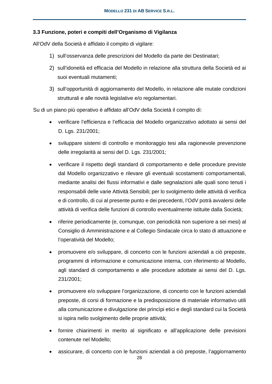### **3.3 Funzione, poteri e compiti dell'Organismo di Vigilanza**

All'OdV della Società è affidato il compito di vigilare:

- 1) sull'osservanza delle prescrizioni del Modello da parte dei Destinatari;
- 2) sull'idoneità ed efficacia del Modello in relazione alla struttura della Società ed ai suoi eventuali mutamenti;
- 3) sull'opportunità di aggiornamento del Modello, in relazione alle mutate condizioni strutturali e alle novità legislative e/o regolamentari.

Su di un piano più operativo è affidato all'OdV della Società il compito di:

- verificare l'efficienza e l'efficacia del Modello organizzativo adottato ai sensi del D. Lgs. 231/2001;
- sviluppare sistemi di controllo e monitoraggio tesi alla ragionevole prevenzione delle irregolarità ai sensi del D. Lgs. 231/2001;
- verificare il rispetto degli standard di comportamento e delle procedure previste dal Modello organizzativo e rilevare gli eventuali scostamenti comportamentali, mediante analisi dei flussi informativi e dalle segnalazioni alle quali sono tenuti i responsabili delle varie Attività Sensibili; per lo svolgimento delle attività di verifica e di controllo, di cui al presente punto e dei precedenti, l'OdV potrà avvalersi delle attività di verifica delle funzioni di controllo eventualmente istituite dalla Società;
- riferire periodicamente (e, comunque, con periodicità non superiore a sei mesi) al Consiglio di Amministrazione e al Collegio Sindacale circa lo stato di attuazione e l'operatività del Modello;
- promuovere e/o sviluppare, di concerto con le funzioni aziendali a ciò preposte, programmi di informazione e comunicazione interna, con riferimento al Modello, agli standard di comportamento e alle procedure adottate ai sensi del D. Lgs. 231/2001;
- promuovere e/o sviluppare l'organizzazione, di concerto con le funzioni aziendali preposte, di corsi di formazione e la predisposizione di materiale informativo utili alla comunicazione e divulgazione dei princìpi etici e degli standard cui la Società si ispira nello svolgimento delle proprie attività;
- fornire chiarimenti in merito al significato e all'applicazione delle previsioni contenute nel Modello;
- assicurare, di concerto con le funzioni aziendali a ciò preposte, l'aggiornamento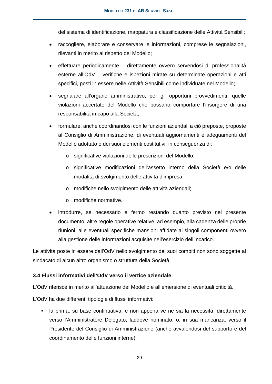del sistema di identificazione, mappatura e classificazione delle Attività Sensibili;

- raccogliere, elaborare e conservare le informazioni, comprese le segnalazioni, rilevanti in merito al rispetto del Modello;
- effettuare periodicamente direttamente ovvero servendosi di professionalità esterne all'OdV – verifiche e ispezioni mirate su determinate operazioni e atti specifici, posti in essere nelle Attività Sensibili come individuate nel Modello;
- segnalare all'organo amministrativo, per gli opportuni provvedimenti, quelle violazioni accertate del Modello che possano comportare l'insorgere di una responsabilità in capo alla Società;
- formulare, anche coordinandosi con le funzioni aziendali a ciò preposte, proposte al Consiglio di Amministrazione, di eventuali aggiornamenti e adeguamenti del Modello adottato e dei suoi elementi costitutivi, in conseguenza di:
	- o significative violazioni delle prescrizioni del Modello;
	- o significative modificazioni dell'assetto interno della Società e/o delle modalità di svolgimento delle attività d'impresa;
	- o modifiche nello svolgimento delle attività aziendali;
	- o modifiche normative.
- introdurre, se necessario e fermo restando quanto previsto nel presente documento, altre regole operative relative, ad esempio, alla cadenza delle proprie riunioni, alle eventuali specifiche mansioni affidate ai singoli componenti ovvero alla gestione delle informazioni acquisite nell'esercizio dell'incarico.

Le attività poste in essere dall'OdV nello svolgimento dei suoi compiti non sono soggette al sindacato di alcun altro organismo o struttura della Società.

### **3.4 Flussi informativi dell'OdV verso il vertice aziendale**

L'OdV riferisce in merito all'attuazione del Modello e all'emersione di eventuali criticità.

L'OdV ha due differenti tipologie di flussi informativi:

 la prima, su base continuativa, e non appena ve ne sia la necessità, direttamente verso l'Amministratore Delegato, laddove nominato, o, in sua mancanza, verso il Presidente del Consiglio di Amministrazione (anche avvalendosi del supporto e del coordinamento delle funzioni interne);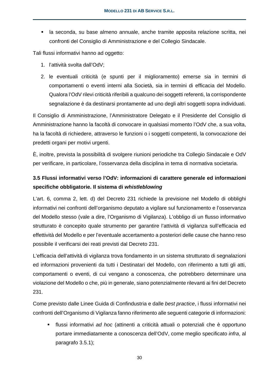la seconda, su base almeno annuale, anche tramite apposita relazione scritta, nei confronti del Consiglio di Amministrazione e del Collegio Sindacale.

Tali flussi informativi hanno ad oggetto:

- 1. l'attività svolta dall'OdV;
- 2. le eventuali criticità (e spunti per il miglioramento) emerse sia in termini di comportamenti o eventi interni alla Società, sia in termini di efficacia del Modello. Qualora l'OdV rilevi criticità riferibili a qualcuno dei soggetti referenti, la corrispondente segnalazione è da destinarsi prontamente ad uno degli altri soggetti sopra individuati.

Il Consiglio di Amministrazione, l'Amministratore Delegato e il Presidente del Consiglio di Amministrazione hanno la facoltà di convocare in qualsiasi momento l'OdV che, a sua volta, ha la facoltà di richiedere, attraverso le funzioni o i soggetti competenti, la convocazione dei predetti organi per motivi urgenti.

È, inoltre, prevista la possibilità di svolgere riunioni periodiche tra Collegio Sindacale e OdV per verificare, in particolare, l'osservanza della disciplina in tema di normativa societaria.

# **3.5 Flussi informativi verso l'OdV: informazioni di carattere generale ed informazioni specifiche obbligatorie. Il sistema di** *whistleblowing*

L'art. 6, comma 2, lett. d) del Decreto 231 richiede la previsione nel Modello di obblighi informativi nei confronti dell'organismo deputato a vigilare sul funzionamento e l'osservanza del Modello stesso (vale a dire, l'Organismo di Vigilanza). L'obbligo di un flusso informativo strutturato è concepito quale strumento per garantire l'attività di vigilanza sull'efficacia ed effettività del Modello e per l'eventuale accertamento a posteriori delle cause che hanno reso possibile il verificarsi dei reati previsti dal Decreto 231.

L'efficacia dell'attività di vigilanza trova fondamento in un sistema strutturato di segnalazioni ed informazioni provenienti da tutti i Destinatari del Modello, con riferimento a tutti gli atti, comportamenti o eventi, di cui vengano a conoscenza, che potrebbero determinare una violazione del Modello o che, più in generale, siano potenzialmente rilevanti ai fini del Decreto 231.

Come previsto dalle Linee Guida di Confindustria e dalle *best practice*, i flussi informativi nei confronti dell'Organismo di Vigilanza fanno riferimento alle seguenti categorie di informazioni:

 flussi informativi *ad hoc* (attinenti a criticità attuali o potenziali che è opportuno portare immediatamente a conoscenza dell'OdV, come meglio specificato *infra*, al paragrafo 3.5.1);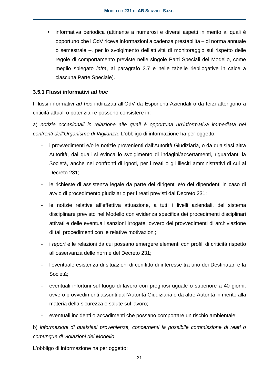informativa periodica (attinente a numerosi e diversi aspetti in merito ai quali è opportuno che l'OdV riceva informazioni a cadenza prestabilita – di norma annuale o semestrale –, per lo svolgimento dell'attività di monitoraggio sul rispetto delle regole di comportamento previste nelle singole Parti Speciali del Modello, come meglio spiegato *infra*, al paragrafo 3.7 e nelle tabelle riepilogative in calce a ciascuna Parte Speciale).

### **3.5.1 Flussi informativi** *ad hoc*

I flussi informativi *ad hoc* indirizzati all'OdV da Esponenti Aziendali o da terzi attengono a criticità attuali o potenziali e possono consistere in:

a) *notizie occasionali in relazione alle quali è opportuna un'informativa immediata nei confronti dell'Organismo di Vigilanza.* L'obbligo di informazione ha per oggetto:

- i provvedimenti e/o le notizie provenienti dall'Autorità Giudiziaria, o da qualsiasi altra Autorità, dai quali si evinca lo svolgimento di indagini/accertamenti, riguardanti la Società, anche nei confronti di ignoti, per i reati o gli illeciti amministrativi di cui al Decreto 231;
- le richieste di assistenza legale da parte dei dirigenti e/o dei dipendenti in caso di avvio di procedimento giudiziario per i reati previsti dal Decreto 231;
- le notizie relative all'effettiva attuazione, a tutti i livelli aziendali, del sistema disciplinare previsto nel Modello con evidenza specifica dei procedimenti disciplinari attivati e delle eventuali sanzioni irrogate, ovvero dei provvedimenti di archiviazione di tali procedimenti con le relative motivazioni;
- i *report* e le relazioni da cui possano emergere elementi con profili di criticità rispetto all'osservanza delle norme del Decreto 231;
- l'eventuale esistenza di situazioni di conflitto di interesse tra uno dei Destinatari e la Società;
- eventuali infortuni sul luogo di lavoro con prognosi uguale o superiore a 40 giorni, ovvero provvedimenti assunti dall'Autorità Giudiziaria o da altre Autorità in merito alla materia della sicurezza e salute sul lavoro;
- eventuali incidenti o accadimenti che possano comportare un rischio ambientale;

b) *informazioni di qualsiasi provenienza, concernenti la possibile commissione di reati o comunque di violazioni del Modello*.

L'obbligo di informazione ha per oggetto: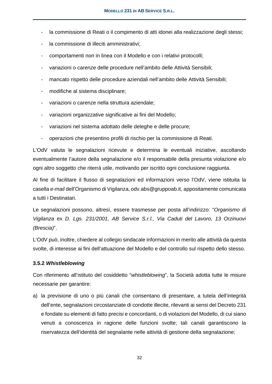- la commissione di Reati o il compimento di atti idonei alla realizzazione degli stessi;
- la commissione di illeciti amministrativi;
- comportamenti non in linea con il Modello e con i relativi protocolli;
- variazioni o carenze delle procedure nell'ambito delle Attività Sensibili;
- mancato rispetto delle procedure aziendali nell'ambito delle Attività Sensibili;
- modifiche al sistema disciplinare;
- variazioni o carenze nella struttura aziendale;
- variazioni organizzative significative ai fini del Modello;
- variazioni nel sistema adottato delle deleghe e delle procure;
- operazioni che presentino profili di rischio per la commissione di Reati.

L'OdV valuta le segnalazioni ricevute e determina le eventuali iniziative, ascoltando eventualmente l'autore della segnalazione e/o il responsabile della presunta violazione e/o ogni altro soggetto che riterrà utile, motivando per iscritto ogni conclusione raggiunta.

Al fine di facilitare il flusso di segnalazioni ed informazioni verso l'OdV, viene istituita la casella *e-mail* dell'Organismo di Vigilanza, odv.abs@gruppoab.it, appositamente comunicata a tutti i Destinatari.

Le segnalazioni possono, altresì, essere trasmesse per posta all'indirizzo: "*Organismo di Vigilanza* ex *D. Lgs. 231/2001, AB Service S.r.l., Via Caduti del Lavoro, 13 Orzinuovi (Brescia)*".

L'OdV può, inoltre, chiedere al collegio sindacale informazioni in merito alle attività da questa svolte, di interesse ai fini dell'attuazione del Modello e del controllo sul rispetto dello stesso.

### **3.5.2** *Whistleblowing*

Con riferimento all'istituto del cosiddetto "*whistleblowing*", la Società adotta tutte le misure necessarie per garantire:

a) la previsione di uno o più canali che consentano di presentare, a tutela dell'integrità dell'ente, segnalazioni circostanziate di condotte illecite, rilevanti ai sensi del Decreto 231 e fondate su elementi di fatto precisi e concordanti, o di violazioni del Modello, di cui siano venuti a conoscenza in ragione delle funzioni svolte; tali canali garantiscono la riservatezza dell'identità del segnalante nelle attività di gestione della segnalazione;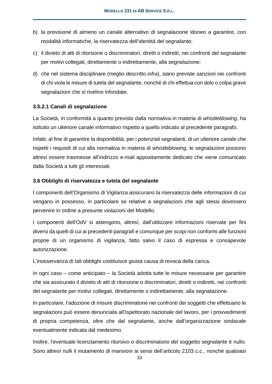- b) la previsione di almeno un canale alternativo di segnalazione idoneo a garantire, con modalità informatiche, la riservatezza dell'identità del segnalante;
- c) il divieto di atti di ritorsione o discriminatori, diretti o indiretti, nei confronti del segnalante per motivi collegati, direttamente o indirettamente, alla segnalazione;
- d) che nel sistema disciplinare (meglio descritto *infra*), siano previste sanzioni nei confronti di chi viola le misure di tutela del segnalante, nonché di chi effettua con dolo o colpa grave segnalazioni che si rivelino infondate.

### **3.5.2.1 Canali di segnalazione**

La Società, in conformità a quanto previsto dalla normativa in materia di *whistleblowing*, ha istituito un ulteriore canale informativo rispetto a quello indicato al precedente paragrafo.

Infatti, al fine di garantire la disponibilità, per i potenziali segnalanti, di un ulteriore canale che rispetti i requisiti di cui alla normativa in materia di *whistleblowing*, le segnalazioni possono altresì essere trasmesse all'indirizzo e-mail appositamente dedicato che viene comunicato dalla Società a tutti gli interessati.

#### **3.6 Obblighi di riservatezza e tutela del segnalante**

I componenti dell'Organismo di Vigilanza assicurano la riservatezza delle informazioni di cui vengano in possesso, in particolare se relative a segnalazioni che agli stessi dovessero pervenire in ordine a presunte violazioni del Modello.

I componenti dell'OdV si astengono, altresì, dall'utilizzare informazioni riservate per fini diversi da quelli di cui ai precedenti paragrafi e comunque per scopi non conformi alle funzioni proprie di un organismo di vigilanza, fatto salvo il caso di espressa e consapevole autorizzazione.

L'inosservanza di tali obblighi costituisce giusta causa di revoca della carica.

In ogni caso – come anticipato – la Società adotta tutte le misure necessarie per garantire che sia assicurato il divieto di atti di ritorsione o discriminatori, diretti o indiretti, nei confronti del segnalante per motivi collegati, direttamente o indirettamente, alla segnalazione.

In particolare, l'adozione di misure discriminatorie nei confronti dei soggetti che effettuano le segnalazioni può essere denunciata all'Ispettorato nazionale del lavoro, per i provvedimenti di propria competenza, oltre che dal segnalante, anche dall'organizzazione sindacale eventualmente indicata dal medesimo.

Inoltre, l'eventuale licenziamento ritorsivo o discriminatorio del soggetto segnalante è nullo. Sono altresì nulli il mutamento di mansioni ai sensi dell'articolo 2103 c.c., nonché qualsiasi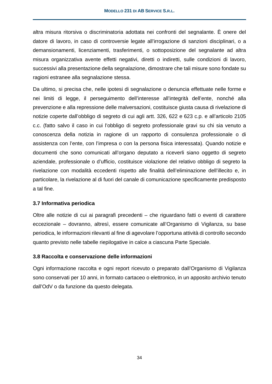altra misura ritorsiva o discriminatoria adottata nei confronti del segnalante. È onere del datore di lavoro, in caso di controversie legate all'irrogazione di sanzioni disciplinari, o a demansionamenti, licenziamenti, trasferimenti, o sottoposizione del segnalante ad altra misura organizzativa avente effetti negativi, diretti o indiretti, sulle condizioni di lavoro, successivi alla presentazione della segnalazione, dimostrare che tali misure sono fondate su ragioni estranee alla segnalazione stessa.

Da ultimo, si precisa che, nelle ipotesi di segnalazione o denuncia effettuate nelle forme e nei limiti di legge, il perseguimento dell'interesse all'integrità dell'ente, nonché alla prevenzione e alla repressione delle malversazioni, costituisce giusta causa di rivelazione di notizie coperte dall'obbligo di segreto di cui agli artt. 326, 622 e 623 c.p. e all'articolo 2105 c.c. (fatto salvo il caso in cui l'obbligo di segreto professionale gravi su chi sia venuto a conoscenza della notizia in ragione di un rapporto di consulenza professionale o di assistenza con l'ente, con l'impresa o con la persona fisica interessata). Quando notizie e documenti che sono comunicati all'organo deputato a riceverli siano oggetto di segreto aziendale, professionale o d'ufficio, costituisce violazione del relativo obbligo di segreto la rivelazione con modalità eccedenti rispetto alle finalità dell'eliminazione dell'illecito e, in particolare, la rivelazione al di fuori del canale di comunicazione specificamente predisposto a tal fine.

### **3.7 Informativa periodica**

Oltre alle notizie di cui ai paragrafi precedenti – che riguardano fatti o eventi di carattere eccezionale – dovranno, altresì, essere comunicate all'Organismo di Vigilanza, su base periodica, le informazioni rilevanti al fine di agevolare l'opportuna attività di controllo secondo quanto previsto nelle tabelle riepilogative in calce a ciascuna Parte Speciale.

### **3.8 Raccolta e conservazione delle informazioni**

Ogni informazione raccolta e ogni report ricevuto o preparato dall'Organismo di Vigilanza sono conservati per 10 anni, in formato cartaceo o elettronico, in un apposito archivio tenuto dall'OdV o da funzione da questo delegata.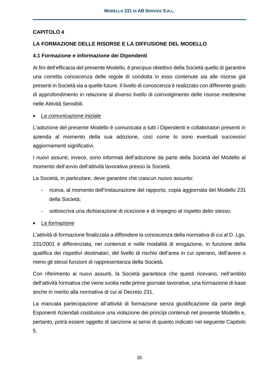## **CAPITOLO 4**

### **LA FORMAZIONE DELLE RISORSE E LA DIFFUSIONE DEL MODELLO**

### **4.1 Formazione e informazione dei Dipendenti**

Ai fini dell'efficacia del presente Modello, è precipuo obiettivo della Società quello di garantire una corretta conoscenza delle regole di condotta in esso contenute sia alle risorse già presenti in Società sia a quelle future. Il livello di conoscenza è realizzato con differente grado di approfondimento in relazione al diverso livello di coinvolgimento delle risorse medesime nelle Attività Sensibili.

### *La comunicazione iniziale*

L'adozione del presente Modello è comunicata a tutti i Dipendenti e collaboratori presenti in azienda al momento della sua adozione, così come lo sono eventuali successivi aggiornamenti significativi.

I nuovi assunti, invece, sono informati dell'adozione da parte della Società del Modello al momento dell'avvio dell'attività lavorativa presso la Società.

La Società, in particolare, deve garantire che ciascun nuovo assunto:

- riceva, al momento dell'instaurazione del rapporto, copia aggiornata del Modello 231 della Società;
- sottoscriva una dichiarazione di ricezione e di impegno al rispetto dello stesso.

### *La formazione*

L'attività di formazione finalizzata a diffondere la conoscenza della normativa di cui al D. Lgs. 231/2001 è differenziata, nei contenuti e nelle modalità di erogazione, in funzione della qualifica dei rispettivi destinatari, del livello di rischio dell'area in cui operano, dell'avere o meno gli stessi funzioni di rappresentanza della Società.

Con riferimento ai nuovi assunti, la Società garantisce che questi ricevano, nell'ambito dell'attività formativa che viene svolta nelle prime giornate lavorative, una formazione di base anche in merito alla normativa di cui al Decreto 231.

La mancata partecipazione all'attività di formazione senza giustificazione da parte degli Esponenti Aziendali costituisce una violazione dei princìpi contenuti nel presente Modello e, pertanto, potrà essere oggetto di sanzione ai sensi di quanto indicato nel seguente Capitolo 5.

35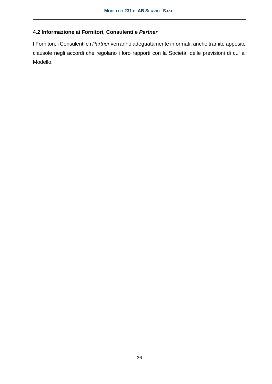## **4.2 Informazione ai Fornitori, Consulenti e** *Partner*

I Fornitori, i Consulenti e i *Partner* verranno adeguatamente informati, anche tramite apposite clausole negli accordi che regolano i loro rapporti con la Società, delle previsioni di cui al Modello.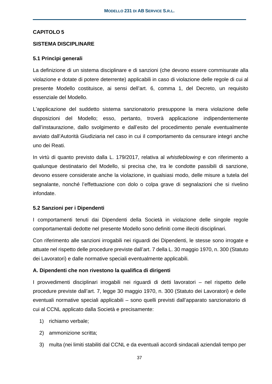### **CAPITOLO 5**

#### **SISTEMA DISCIPLINARE**

#### **5.1 Princìpi generali**

La definizione di un sistema disciplinare e di sanzioni (che devono essere commisurate alla violazione e dotate di potere deterrente) applicabili in caso di violazione delle regole di cui al presente Modello costituisce, ai sensi dell'art. 6, comma 1, del Decreto, un requisito essenziale del Modello.

L'applicazione del suddetto sistema sanzionatorio presuppone la mera violazione delle disposizioni del Modello; esso, pertanto, troverà applicazione indipendentemente dall'instaurazione, dallo svolgimento e dall'esito del procedimento penale eventualmente avviato dall'Autorità Giudiziaria nel caso in cui il comportamento da censurare integri anche uno dei Reati.

In virtù di quanto previsto dalla L. 179/2017, relativa al *whistleblowing* e con riferimento a qualunque destinatario del Modello, si precisa che, tra le condotte passibili di sanzione, devono essere considerate anche la violazione, in qualsiasi modo, delle misure a tutela del segnalante, nonché l'effettuazione con dolo o colpa grave di segnalazioni che si rivelino infondate.

### **5.2 Sanzioni per i Dipendenti**

I comportamenti tenuti dai Dipendenti della Società in violazione delle singole regole comportamentali dedotte nel presente Modello sono definiti come illeciti disciplinari.

Con riferimento alle sanzioni irrogabili nei riguardi dei Dipendenti, le stesse sono irrogate e attuate nel rispetto delle procedure previste dall'art. 7 della L. 30 maggio 1970, n. 300 (Statuto dei Lavoratori) e dalle normative speciali eventualmente applicabili.

### **A. Dipendenti che non rivestono la qualifica di dirigenti**

I provvedimenti disciplinari irrogabili nei riguardi di detti lavoratori – nel rispetto delle procedure previste dall'art. 7, legge 30 maggio 1970, n. 300 (Statuto dei Lavoratori) e delle eventuali normative speciali applicabili – sono quelli previsti dall'apparato sanzionatorio di cui al CCNL applicato dalla Società e precisamente:

- 1) richiamo verbale;
- 2) ammonizione scritta;
- 3) multa (nei limiti stabiliti dal CCNL e da eventuali accordi sindacali aziendali tempo per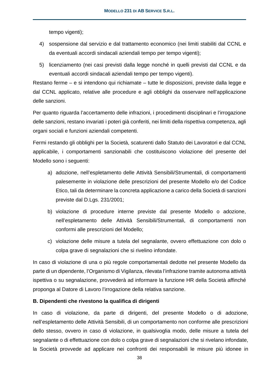tempo vigenti);

- 4) sospensione dal servizio e dal trattamento economico (nei limiti stabiliti dal CCNL e da eventuali accordi sindacali aziendali tempo per tempo vigenti);
- 5) licenziamento (nei casi previsti dalla legge nonché in quelli previsti dal CCNL e da eventuali accordi sindacali aziendali tempo per tempo vigenti).

Restano ferme – e si intendono qui richiamate – tutte le disposizioni, previste dalla legge e dal CCNL applicato, relative alle procedure e agli obblighi da osservare nell'applicazione delle sanzioni.

Per quanto riguarda l'accertamento delle infrazioni, i procedimenti disciplinari e l'irrogazione delle sanzioni, restano invariati i poteri già conferiti, nei limiti della rispettiva competenza, agli organi sociali e funzioni aziendali competenti.

Fermi restando gli obblighi per la Società, scaturenti dallo Statuto dei Lavoratori e dal CCNL applicabile, i comportamenti sanzionabili che costituiscono violazione del presente del Modello sono i seguenti:

- a) adozione, nell'espletamento delle Attività Sensibili/Strumentali, di comportamenti palesemente in violazione delle prescrizioni del presente Modello e/o del Codice Etico, tali da determinare la concreta applicazione a carico della Società di sanzioni previste dal D.Lgs. 231/2001;
- b) violazione di procedure interne previste dal presente Modello o adozione, nell'espletamento delle Attività Sensibili/Strumentali, di comportamenti non conformi alle prescrizioni del Modello;
- c) violazione delle misure a tutela del segnalante, ovvero effettuazione con dolo o colpa grave di segnalazioni che si rivelino infondate.

In caso di violazione di una o più regole comportamentali dedotte nel presente Modello da parte di un dipendente, l'Organismo di Vigilanza, rilevata l'infrazione tramite autonoma attività ispettiva o su segnalazione, provvederà ad informare la funzione HR della Società affinché proponga al Datore di Lavoro l'irrogazione della relativa sanzione.

### **B. Dipendenti che rivestono la qualifica di dirigenti**

In caso di violazione, da parte di dirigenti, del presente Modello o di adozione, nell'espletamento delle Attività Sensibili, di un comportamento non conforme alle prescrizioni dello stesso, ovvero in caso di violazione, in qualsivoglia modo, delle misure a tutela del segnalante o di effettuazione con dolo o colpa grave di segnalazioni che si rivelano infondate, la Società provvede ad applicare nei confronti dei responsabili le misure più idonee in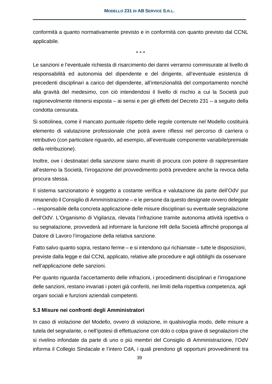conformità a quanto normativamente previsto e in conformità con quanto previsto dal CCNL applicabile.

\* \* \*

Le sanzioni e l'eventuale richiesta di risarcimento dei danni verranno commisurate al livello di responsabilità ed autonomia del dipendente e del dirigente, all'eventuale esistenza di precedenti disciplinari a carico del dipendente, all'intenzionalità del comportamento nonché alla gravità del medesimo, con ciò intendendosi il livello di rischio a cui la Società può ragionevolmente ritenersi esposta – ai sensi e per gli effetti del Decreto 231 – a seguito della condotta censurata.

Si sottolinea, come il mancato puntuale rispetto delle regole contenute nel Modello costituirà elemento di valutazione professionale che potrà avere riflessi nel percorso di carriera o retributivo (con particolare riguardo, ad esempio, all'eventuale componente variabile/premiale della retribuzione).

Inoltre, ove i destinatari della sanzione siano muniti di procura con potere di rappresentare all'esterno la Società, l'irrogazione del provvedimento potrà prevedere anche la revoca della procura stessa.

Il sistema sanzionatorio è soggetto a costante verifica e valutazione da parte dell'OdV pur rimanendo il Consiglio di Amministrazione – e le persone da questo designate ovvero delegate – responsabile della concreta applicazione delle misure disciplinari su eventuale segnalazione dell'OdV. L'Organismo di Vigilanza, rilevata l'infrazione tramite autonoma attività ispettiva o su segnalazione, provvederà ad informare la funzione HR della Società affinché proponga al Datore di Lavoro l'irrogazione della relativa sanzione.

Fatto salvo quanto sopra, restano ferme – e si intendono qui richiamate – tutte le disposizioni, previste dalla legge e dal CCNL applicato, relative alle procedure e agli obblighi da osservare nell'applicazione delle sanzioni.

Per quanto riguarda l'accertamento delle infrazioni, i procedimenti disciplinari e l'irrogazione delle sanzioni, restano invariati i poteri già conferiti, nei limiti della rispettiva competenza, agli organi sociali e funzioni aziendali competenti.

### **5.3 Misure nei confronti degli Amministratori**

In caso di violazione del Modello, ovvero di violazione, in qualsivoglia modo, delle misure a tutela del segnalante, o nell'ipotesi di effettuazione con dolo o colpa grave di segnalazioni che si rivelino infondate da parte di uno o più membri del Consiglio di Amministrazione, l'OdV informa il Collegio Sindacale e l'intero CdA, i quali prendono gli opportuni provvedimenti tra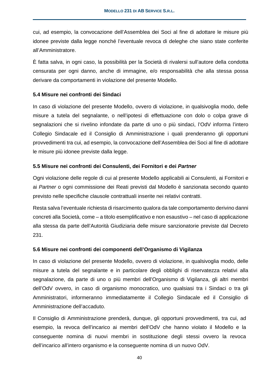cui, ad esempio, la convocazione dell'Assemblea dei Soci al fine di adottare le misure più idonee previste dalla legge nonché l'eventuale revoca di deleghe che siano state conferite all'Amministratore.

È fatta salva, in ogni caso, la possibilità per la Società di rivalersi sull'autore della condotta censurata per ogni danno, anche di immagine, e/o responsabilità che alla stessa possa derivare da comportamenti in violazione del presente Modello.

### **5.4 Misure nei confronti dei Sindaci**

In caso di violazione del presente Modello, ovvero di violazione, in qualsivoglia modo, delle misure a tutela del segnalante, o nell'ipotesi di effettuazione con dolo o colpa grave di segnalazioni che si rivelino infondate da parte di uno o più sindaci, l'OdV informa l'intero Collegio Sindacale ed il Consiglio di Amministrazione i quali prenderanno gli opportuni provvedimenti tra cui, ad esempio, la convocazione dell'Assemblea dei Soci al fine di adottare le misure più idonee previste dalla legge.

### **5.5 Misure nei confronti dei Consulenti, dei Fornitori e dei** *Partner*

Ogni violazione delle regole di cui al presente Modello applicabili ai Consulenti, ai Fornitori e ai *Partner* o ogni commissione dei Reati previsti dal Modello è sanzionata secondo quanto previsto nelle specifiche clausole contrattuali inserite nei relativi contratti.

Resta salva l'eventuale richiesta di risarcimento qualora da tale comportamento derivino danni concreti alla Società, come – a titolo esemplificativo e non esaustivo – nel caso di applicazione alla stessa da parte dell'Autorità Giudiziaria delle misure sanzionatorie previste dal Decreto 231.

### **5.6 Misure nei confronti dei componenti dell'Organismo di Vigilanza**

In caso di violazione del presente Modello, ovvero di violazione, in qualsivoglia modo, delle misure a tutela del segnalante e in particolare degli obblighi di riservatezza relativi alla segnalazione, da parte di uno o più membri dell'Organismo di Vigilanza, gli altri membri dell'OdV ovvero, in caso di organismo monocratico, uno qualsiasi tra i Sindaci o tra gli Amministratori, informeranno immediatamente il Collegio Sindacale ed il Consiglio di Amministrazione dell'accaduto.

Il Consiglio di Amministrazione prenderà, dunque, gli opportuni provvedimenti, tra cui, ad esempio, la revoca dell'incarico ai membri dell'OdV che hanno violato il Modello e la conseguente nomina di nuovi membri in sostituzione degli stessi ovvero la revoca dell'incarico all'intero organismo e la conseguente nomina di un nuovo OdV.